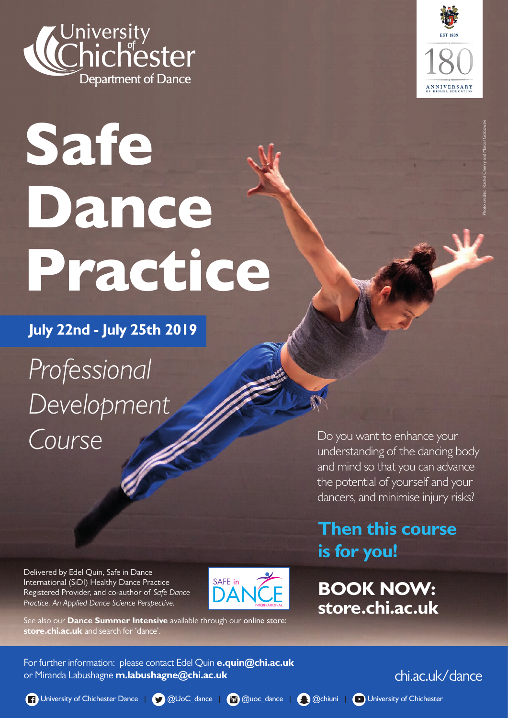



## Safe Dance Practice

**July 22nd - July 25th 2019**

*Professional Development Course* 

Delivered by Edel Quin, Safe in Dance International (SiDI) Healthy Dance Practice Registered Provider, and co-author of *Safe Dance* **Practice. An Applied Dance Science Perspective.** 



See also our **Dance Summer Intensive** available through our online store: **[store.chi.ac.uk](https://store.chi.ac.uk/product-catalogue/dance/events-201819/summer-dance-intensive)** and search for 'dance

For further information: please contact Edel Quin **e.quin@chi.ac.uk** or Miranda Labushagne **m.labushagne@chi.ac.uk**

Do you want to enhance your understanding of the dancing body and mind so that you can advance the potential of yourself and your dancers, and minimise injury risks?

**Then this course is for you!** 

**BOOK NOW: [store.chi.ac.uk](https://store.chi.ac.uk/product-catalogue/dance/events-201819/safe-dance-practice-course-continuing-professional-development)**

<chi.ac.uk/dance>



**1** [University of Chichester Dance](https://en-gb.facebook.com/UniversityOfChichesterDance/) | **9** [@UoC\\_dance](https://twitter.com/uoc_dance?lang=en) | 8 [@uoc\\_dance](https://www.instagram.com/uoc_dance/?hl=en) | 8 [@chiuni](https://www.snapchat.com/add/chiuni) | **@** [University of Chichester](https://www.youtube.com/channel/UCpnvKaLT9yky2nWuBmwSjZQ)